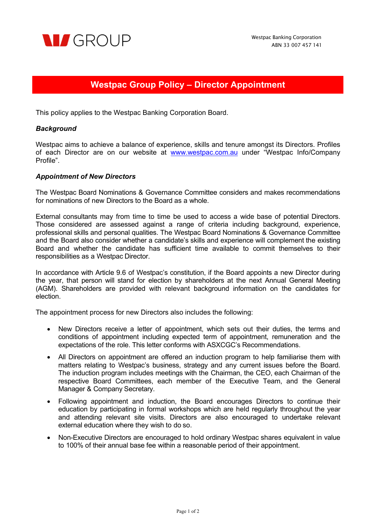

# **Westpac Group Policy – Director Appointment**

This policy applies to the Westpac Banking Corporation Board.

## *Background*

Westpac aims to achieve a balance of experience, skills and tenure amongst its Directors. Profiles of each Director are on our website at www.westpac.com.au under "Westpac Info/Company Profile".

### *Appointment of New Directors*

The Westpac Board Nominations & Governance Committee considers and makes recommendations for nominations of new Directors to the Board as a whole.

External consultants may from time to time be used to access a wide base of potential Directors. Those considered are assessed against a range of criteria including background, experience, professional skills and personal qualities. The Westpac Board Nominations & Governance Committee and the Board also consider whether a candidate's skills and experience will complement the existing Board and whether the candidate has sufficient time available to commit themselves to their responsibilities as a Westpac Director.

In accordance with Article 9.6 of Westpac's constitution, if the Board appoints a new Director during the year, that person will stand for election by shareholders at the next Annual General Meeting (AGM). Shareholders are provided with relevant background information on the candidates for election.

The appointment process for new Directors also includes the following:

- New Directors receive a letter of appointment, which sets out their duties, the terms and conditions of appointment including expected term of appointment, remuneration and the expectations of the role. This letter conforms with ASXCGC's Recommendations.
- All Directors on appointment are offered an induction program to help familiarise them with matters relating to Westpac's business, strategy and any current issues before the Board. The induction program includes meetings with the Chairman, the CEO, each Chairman of the respective Board Committees, each member of the Executive Team, and the General Manager & Company Secretary.
- Following appointment and induction, the Board encourages Directors to continue their education by participating in formal workshops which are held regularly throughout the year and attending relevant site visits. Directors are also encouraged to undertake relevant external education where they wish to do so.
- Non-Executive Directors are encouraged to hold ordinary Westpac shares equivalent in value to 100% of their annual base fee within a reasonable period of their appointment.